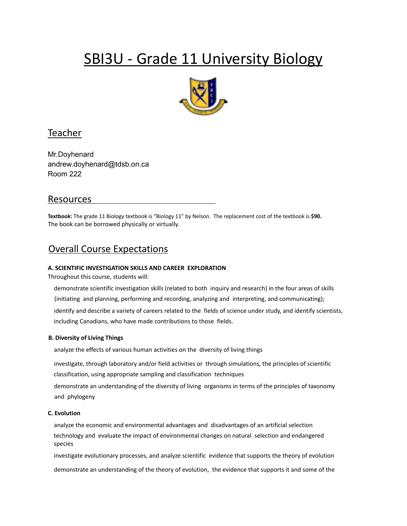# SBI3U - Grade 11 University Biology



# Teacher

Mr.Doyhenard andrew.doyhenard@tdsb.on.ca Room 222

# Resources

**Textbook:** The grade 11 Biology textbook is "Biology 11" by Nelson. The replacement cost of the textbook is **\$90.** The book can be borrowed physically or virtually.

# Overall Course Expectations

## **A. SCIENTIFIC INVESTIGATION SKILLS AND CAREER EXPLORATION**

Throughout this course, students will:

demonstrate scientific investigation skills (related to both inquiry and research) in the four areas of skills (initiating and planning, performing and recording, analyzing and interpreting, and communicating); identify and describe a variety of careers related to the fields of science under study, and identify scientists, including Canadians, who have made contributions to those fields.

#### **B. Diversity of Living Things**

analyze the effects of various human activities on the diversity of living things

investigate, through laboratory and/or field activities or through simulations, the principles of scientific classification, using appropriate sampling and classification techniques

demonstrate an understanding of the diversity of living organisms in terms of the principles of taxonomy and phylogeny

#### **C. Evolution**

analyze the economic and environmental advantages and disadvantages of an artificial selection technology and evaluate the impact of environmental changes on natural selection and endangered species

investigate evolutionary processes, and analyze scientific evidence that supports the theory of evolution

demonstrate an understanding of the theory of evolution, the evidence that supports it and some of the